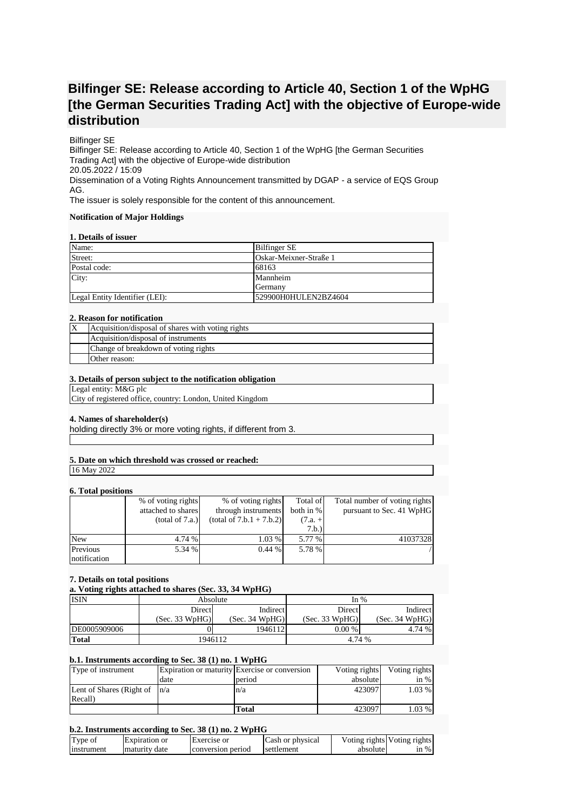# **Bilfinger SE: Release according to Article 40, Section 1 of the WpHG [the German Securities Trading Act] with the objective of Europe-wide distribution**

# Bilfinger SE

Bilfinger SE: Release according to Article 40, Section 1 of the WpHG [the German Securities Trading Act] with the objective of Europe-wide distribution 20.05.2022 / 15:09 Dissemination of a Voting Rights Announcement transmitted by DGAP - a service of EQS Group AG.

The issuer is solely responsible for the content of this announcement.

#### **Notification of Major Holdings**

#### **1. Details of issuer**

| Name:                          | <b>Bilfinger SE</b>    |
|--------------------------------|------------------------|
| Street:                        | Oskar-Meixner-Straße 1 |
| Postal code:                   | 68163                  |
| City:                          | Mannheim               |
|                                | Germany                |
| Legal Entity Identifier (LEI): | 529900H0HULEN2BZ4604   |

#### **2. Reason for notification**

| ΙX | Acquisition/disposal of shares with voting rights |
|----|---------------------------------------------------|
|    | Acquisition/disposal of instruments               |
|    | Change of breakdown of voting rights              |
|    | Other reason:                                     |

#### **3. Details of person subject to the notification obligation**

Legal entity: M&G plc

City of registered office, country: London, United Kingdom

# **4. Names of shareholder(s)**

holding directly 3% or more voting rights, if different from 3.

# **5. Date on which threshold was crossed or reached:**

16 May 2022

# **6. Total positions**

| $\mathbf{v}$ . Toval populacija |                    |                            |           |                               |
|---------------------------------|--------------------|----------------------------|-----------|-------------------------------|
|                                 | % of voting rights | % of voting rights         | Total of  | Total number of voting rights |
|                                 | attached to shares | through instruments        | both in % | pursuant to Sec. 41 WpHG      |
|                                 | (total of 7.a.)    | $(total of 7.b.1 + 7.b.2)$ | $(7.a. +$ |                               |
|                                 |                    |                            | 7.b.)     |                               |
| <b>New</b>                      | 4.74 %             | 1.03 %                     | 5.77 %    | 41037328                      |
| Previous                        | 5.34 %             | 0.44%                      | 5.78 %    |                               |
| notification                    |                    |                            |           |                               |

# **7. Details on total positions**

**a. Voting rights attached to shares (Sec. 33, 34 WpHG)**

| <b>ISIN</b>  | Absolute       |                | In $%$         |                |
|--------------|----------------|----------------|----------------|----------------|
|              | Directl        | Indirect       | Direct         | Indirect       |
|              | (Sec. 33 WpHG) | (Sec. 34 WpHG) | (Sec. 33 WpHG) | (Sec. 34 WpHG) |
| DE0005909006 |                | 1946112        | $0.00\%$       | 4.74 %         |
| <b>Total</b> | 1946112        |                | 4.74 %         |                |

# **b.1. Instruments according to Sec. 38 (1) no. 1 WpHG**

| Type of instrument               |      | Expiration or maturity Exercise or conversion | Voting rights | Voting rights |
|----------------------------------|------|-----------------------------------------------|---------------|---------------|
|                                  | date | period                                        | absolute      | $\sin \%$     |
| Lent of Shares (Right of $ n/a $ |      | n/a                                           | 423097        | $1.03\%$      |
| Recall)                          |      |                                               |               |               |
|                                  |      | Total                                         | 423097        | 1.03 %        |

# **b.2. Instruments according to Sec. 38 (1) no. 2 WpHG**

| Type of    | Expiration or | <b>Exercise</b> or | Cash or physical |          | Voting rights Voting rights |
|------------|---------------|--------------------|------------------|----------|-----------------------------|
| Instrument | maturity date | conversion period  | settlement       | absolute | $\sin \%$                   |